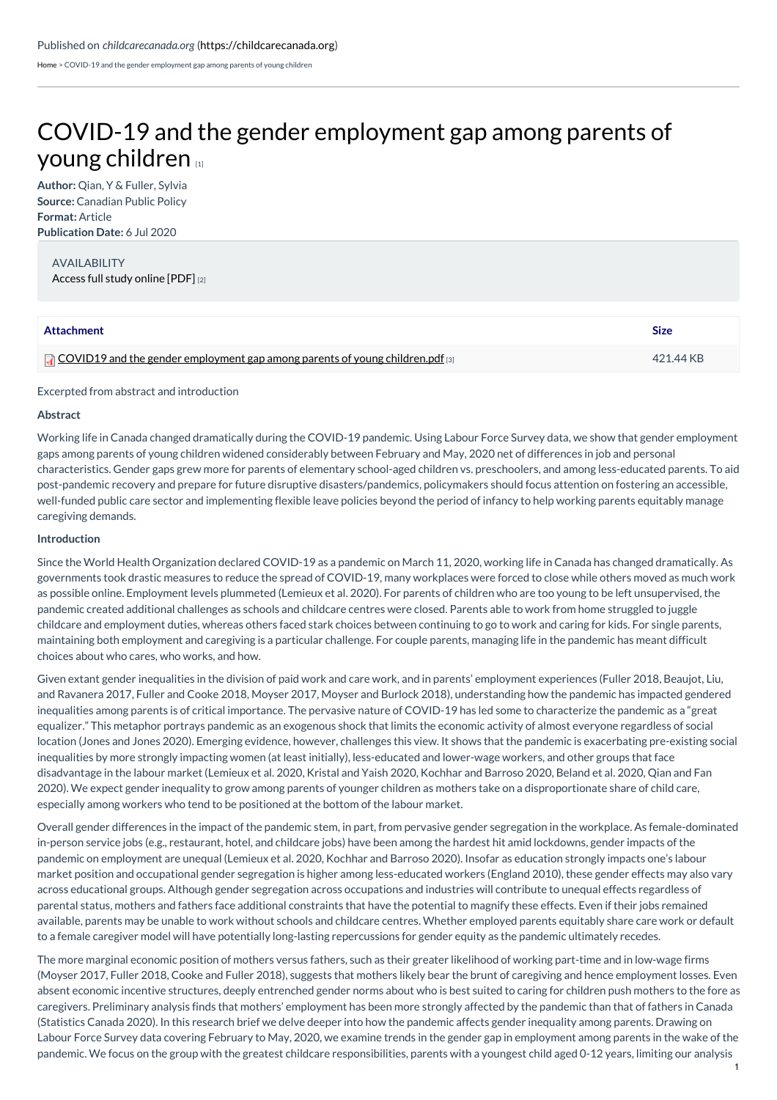[Home](https://childcarecanada.org/) > COVID-19 and the gender employment gap among parents of young children

# COVID-19 and the gender [employment](https://childcarecanada.org/documents/child-care-news/20/07/covid-19-and-gender-employment-gap-among-parents-young-children) gap among parents of young children [1]

**Author:** Qian, Y & Fuller, Sylvia **Source:** Canadian Public Policy **Format:** Article **Publication Date:** 6 Jul 2020

AVAILABILITY [Access](https://doi.org/10.3138/cpp.2020-077) full study online [PDF] [2]

| Attachment                                                                              | <b>Size</b> |
|-----------------------------------------------------------------------------------------|-------------|
| $\Box$ COVID19 and the gender employment gap among parents of young children.pdf $\Box$ | 421.44 KB   |

## Excerpted from abstract and introduction

#### **Abstract**

Working life in Canada changed dramatically during the COVID-19 pandemic. Using Labour Force Survey data, we show that gender employment gaps among parents of young children widened considerably between February and May, 2020 net of differences in job and personal characteristics. Gender gaps grew more for parents of elementary school-aged children vs. preschoolers, and among less-educated parents. To aid post-pandemic recovery and prepare for future disruptive disasters/pandemics, policymakers should focus attention on fostering an accessible, well-funded public care sector and implementing flexible leave policies beyond the period of infancy to help working parents equitably manage caregiving demands.

## **Introduction**

Since the World Health Organization declared COVID-19 as a pandemic on March 11, 2020, working life in Canada has changed dramatically. As governments took drastic measures to reduce the spread of COVID-19, many workplaces were forced to close while others moved as much work as possible online. Employment levels plummeted (Lemieux et al. 2020). For parents of children who are too young to be left unsupervised, the pandemic created additional challenges as schools and childcare centres were closed. Parents able to work from home struggled to juggle childcare and employment duties, whereas others faced stark choices between continuing to go to work and caring for kids. For single parents, maintaining both employment and caregiving is a particular challenge. For couple parents, managing life in the pandemic has meant difficult choices about who cares, who works, and how.

Given extant gender inequalities in the division of paid work and care work, and in parents' employment experiences (Fuller 2018, Beaujot, Liu, and Ravanera 2017, Fuller and Cooke 2018, Moyser 2017, Moyser and Burlock 2018), understanding how the pandemic has impacted gendered inequalities among parents is of critical importance. The pervasive nature of COVID-19 has led some to characterize the pandemic as a "great equalizer." This metaphor portrays pandemic as an exogenous shock that limits the economic activity of almost everyone regardless of social location (Jones and Jones 2020). Emerging evidence, however, challenges this view. It shows that the pandemic is exacerbating pre-existing social inequalities by more strongly impacting women (at least initially), less-educated and lower-wage workers, and other groups that face disadvantage in the labour market (Lemieux et al. 2020, Kristal and Yaish 2020, Kochhar and Barroso 2020, Beland et al. 2020, Qian and Fan 2020). We expect gender inequality to grow among parents of younger children as mothers take on a disproportionate share of child care, especially among workers who tend to be positioned at the bottom of the labour market.

Overall gender differences in the impact of the pandemic stem, in part, from pervasive gender segregation in the workplace. As female-dominated in-person service jobs (e.g., restaurant, hotel, and childcare jobs) have been among the hardest hit amid lockdowns, gender impacts of the pandemic on employment are unequal (Lemieux et al. 2020, Kochhar and Barroso 2020). Insofar as education strongly impacts one's labour market position and occupational gender segregation is higher among less-educated workers (England 2010), these gender effects may also vary across educational groups. Although gender segregation across occupations and industries will contribute to unequal effects regardless of parental status, mothers and fathers face additional constraints that have the potential to magnify these effects. Even if their jobs remained available, parents may be unable to work without schools and childcare centres. Whether employed parents equitably share care work or default to a female caregiver model will have potentially long-lasting repercussions for gender equity as the pandemic ultimately recedes.

The more marginal economic position of mothers versus fathers, such as their greater likelihood of working part-time and in low-wage firms (Moyser 2017, Fuller 2018, Cooke and Fuller 2018), suggests that mothers likely bear the brunt of caregiving and hence employment losses. Even absent economic incentive structures, deeply entrenched gender norms about who is best suited to caring for children push mothers to the fore as caregivers. Preliminary analysis finds that mothers' employment has been more strongly affected by the pandemic than that of fathers in Canada (Statistics Canada 2020). In this research brief we delve deeper into how the pandemic affects gender inequality among parents. Drawing on Labour Force Survey data covering February to May, 2020, we examine trends in the gender gap in employment among parents in the wake of the pandemic. We focus on the group with the greatest childcare responsibilities, parents with a youngest child aged 0-12 years, limiting our analysis